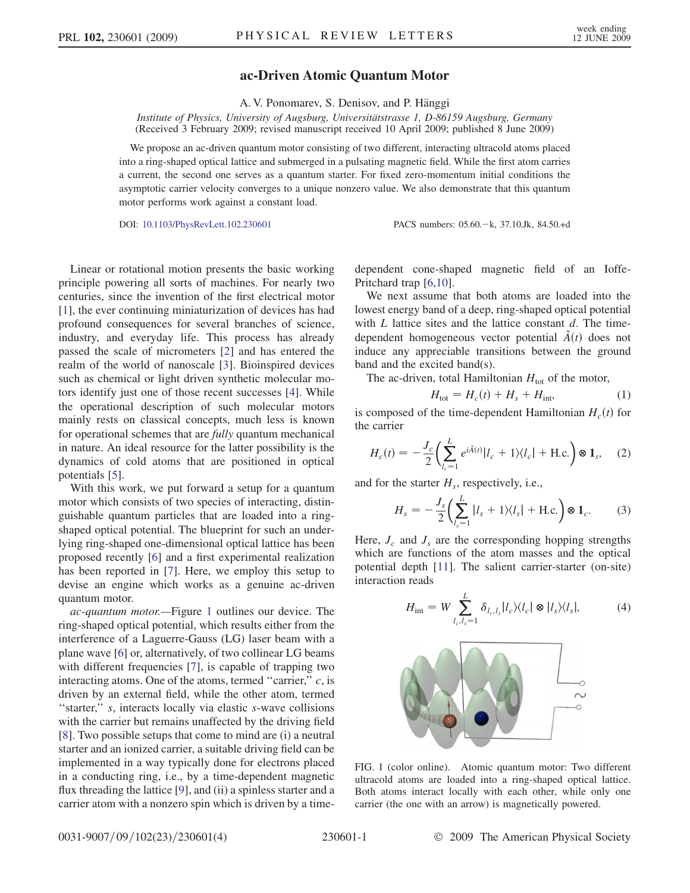## ac-Driven Atomic Quantum Motor

A. V. Ponomarev, S. Denisov, and P. Hänggi

Institute of Physics, University of Augsburg, Universitätstrasse 1, D-86159 Augsburg, Germany (Received 3 February 2009; revised manuscript received 10 April 2009; published 8 June 2009)

We propose an ac-driven quantum motor consisting of two different, interacting ultracold atoms placed into a ring-shaped optical lattice and submerged in a pulsating magnetic field. While the first atom carries a current, the second one serves as a quantum starter. For fixed zero-momentum initial conditions the asymptotic carrier velocity converges to a unique nonzero value. We also demonstrate that this quantum motor performs work against a constant load.

DOI: [10.1103/PhysRevLett.102.230601](http://dx.doi.org/10.1103/PhysRevLett.102.230601) PACS numbers: 05.60. - k, 37.10.Jk, 84.50.+d

Linear or rotational motion presents the basic working principle powering all sorts of machines. For nearly two centuries, since the invention of the first electrical motor [\[1\]](#page-3-0), the ever continuing miniaturization of devices has had profound consequences for several branches of science, industry, and everyday life. This process has already passed the scale of micrometers [[2](#page-3-1)] and has entered the realm of the world of nanoscale [[3](#page-3-2)]. Bioinspired devices such as chemical or light driven synthetic molecular motors identify just one of those recent successes [[4\]](#page-3-3). While the operational description of such molecular motors mainly rests on classical concepts, much less is known for operational schemes that are fully quantum mechanical in nature. An ideal resource for the latter possibility is the dynamics of cold atoms that are positioned in optical potentials [\[5\]](#page-3-4).

With this work, we put forward a setup for a quantum motor which consists of two species of interacting, distinguishable quantum particles that are loaded into a ringshaped optical potential. The blueprint for such an underlying ring-shaped one-dimensional optical lattice has been proposed recently [[6](#page-3-5)] and a first experimental realization has been reported in [[7](#page-3-6)]. Here, we employ this setup to devise an engine which works as a genuine ac-driven quantum motor.

ac-quantum motor.—Figure [1](#page-0-0) outlines our device. The ring-shaped optical potential, which results either from the interference of a Laguerre-Gauss (LG) laser beam with a plane wave [[6\]](#page-3-5) or, alternatively, of two collinear LG beams with different frequencies [\[7](#page-3-6)], is capable of trapping two interacting atoms. One of the atoms, termed "carrier,"  $c$ , is driven by an external field, while the other atom, termed "starter," s, interacts locally via elastic s-wave collisions with the carrier but remains unaffected by the driving field [\[8\]](#page-3-7). Two possible setups that come to mind are (i) a neutral starter and an ionized carrier, a suitable driving field can be implemented in a way typically done for electrons placed in a conducting ring, i.e., by a time-dependent magnetic flux threading the lattice [[9\]](#page-3-8), and (ii) a spinless starter and a carrier atom with a nonzero spin which is driven by a timedependent cone-shaped magnetic field of an Ioffe-Pritchard trap [\[6](#page-3-5)[,10\]](#page-3-9).

We next assume that both atoms are loaded into the lowest energy band of a deep, ring-shaped optical potential with  $L$  lattice sites and the lattice constant  $d$ . The timedependent homogeneous vector potential  $\tilde{A}(t)$  does not induce any appreciable transitions between the ground band and the excited band(s).

<span id="page-0-1"></span>The ac-driven, total Hamiltonian  $H_{\text{tot}}$  of the motor,

$$
H_{\text{tot}} = H_c(t) + H_s + H_{\text{int}}.\tag{1}
$$

is composed of the time-dependent Hamiltonian  $H_c(t)$  for the carrier

$$
H_c(t) = -\frac{J_c}{2} \left( \sum_{l_c=1}^{L} e^{i\tilde{A}(t)} |l_c + 1\rangle \langle l_c| + \text{H.c.} \right) \otimes \mathbf{1}_s, \quad (2)
$$

<span id="page-0-2"></span>and for the starter  $H_s$ , respectively, i.e.,

$$
H_s = -\frac{J_s}{2} \left( \sum_{l_s=1}^L |l_s + 1\rangle \langle l_s| + \text{H.c.} \right) \otimes \mathbf{1}_c. \tag{3}
$$

Here,  $J_c$  and  $J_s$  are the corresponding hopping strengths which are functions of the atom masses and the optical potential depth [\[11\]](#page-3-10). The salient carrier-starter (on-site) interaction reads

$$
H_{\rm int} = W \sum_{l_c, l_s = 1}^{L} \delta_{l_c, l_s} |l_c\rangle\langle l_c| \otimes |l_s\rangle\langle l_s|, \tag{4}
$$

<span id="page-0-0"></span>

FIG. 1 (color online). Atomic quantum motor: Two different ultracold atoms are loaded into a ring-shaped optical lattice. Both atoms interact locally with each other, while only one carrier (the one with an arrow) is magnetically powered.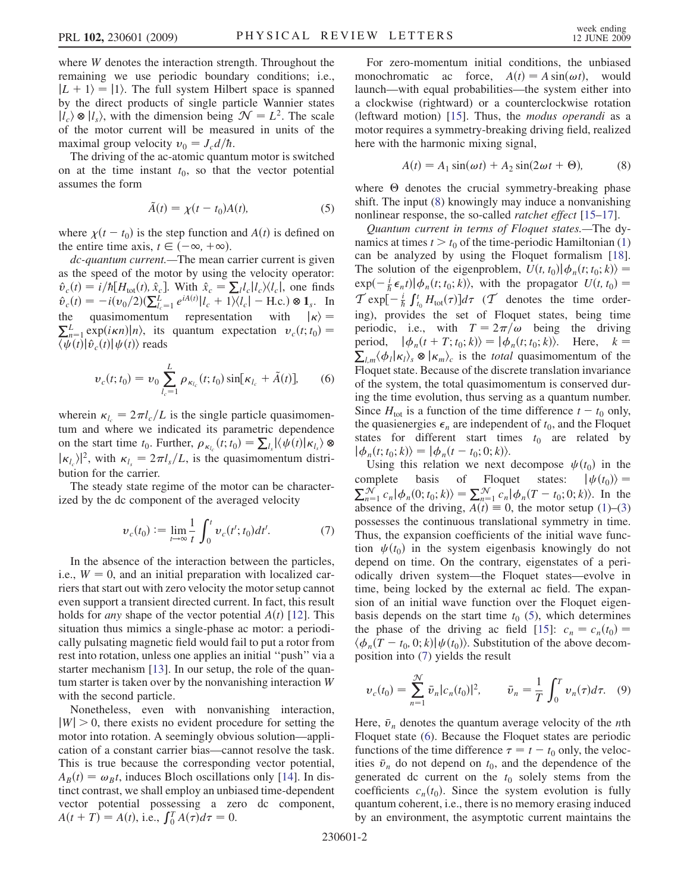where *W* denotes the interaction strength. Throughout the remaining we use periodic boundary conditions; i.e.,  $|L + 1\rangle = |1\rangle$ . The full system Hilbert space is spanned by the direct products of single particle Wannier states  $|l_c\rangle \otimes |l_s\rangle$ , with the dimension being  $\mathcal{N} = L^2$ . The scale of the motor current will be measured in units of the maximal group velocity  $v_0 = J_c d/\hbar$ .

<span id="page-1-1"></span>The driving of the ac-atomic quantum motor is switched on at the time instant  $t_0$ , so that the vector potential assumes the form

$$
\tilde{A}(t) = \chi(t - t_0)A(t),\tag{5}
$$

where  $\chi(t - t_0)$  is the step function and  $A(t)$  is defined on the entire time axis,  $t \in (-\infty, +\infty)$ .

dc-quantum current.—The mean carrier current is given as the speed of the motor by using the velocity operator:  $\hat{v}_c(t) = i/\hbar[H_{\text{tot}}(t), \hat{x}_c]$ . With  $\hat{x}_c = \sum_l l_c |l_c\rangle\langle l_c|$ , one finds  $\hat{v}_c(t) = -i(\hat{v}_0/2)(\sum_{l_c=1}^{L} e^{iA(t)}|l_c + 1)(l_c| - \text{H.c.}) \otimes \mathbf{1}_s$ . In the quasimomentum representation with  $|\kappa\rangle =$  $\sum_{n=1}^{L} \exp(i\kappa n) |n\rangle$ , its quantum expectation  $v_c(t; t_0) =$  $\langle \overline{\psi}(t) | \hat{v}_c(t) | \psi(t) \rangle$  reads

<span id="page-1-3"></span>
$$
\nu_c(t; t_0) = \nu_0 \sum_{l_c=1}^{L} \rho_{\kappa_{l_c}}(t; t_0) \sin[\kappa_{l_c} + \tilde{A}(t)], \qquad (6)
$$

wherein  $\kappa_l = 2\pi l_c/L$  is the single particle quasimomentum and where we indicated its parametric dependence on the start time  $t_0$ . Further,  $\rho_{\kappa_{l_c}}(t; t_0) = \sum_{l_s} |\langle \psi(t) | \kappa_{l_s} \rangle \otimes$  $|\kappa_{l_{c}}\rangle|^{2}$ , with  $\kappa_{l_{c}}=2\pi l_{s}/L$ , is the quasimomentum distribution for the carrier.

<span id="page-1-2"></span>The steady state regime of the motor can be characterized by the dc component of the averaged velocity

$$
\nu_c(t_0) := \lim_{t \to \infty} \frac{1}{t} \int_0^t \nu_c(t'; t_0) dt'. \tag{7}
$$

In the absence of the interaction between the particles, i.e.,  $W = 0$ , and an initial preparation with localized carriers that start out with zero velocity the motor setup cannot even support a transient directed current. In fact, this result holds for *any* shape of the vector potential  $A(t)$  [[12](#page-3-11)]. This situation thus mimics a single-phase ac motor: a periodically pulsating magnetic field would fail to put a rotor from rest into rotation, unless one applies an initial ''push'' via a starter mechanism [\[13\]](#page-3-12). In our setup, the role of the quantum starter is taken over by the nonvanishing interaction W with the second particle.

Nonetheless, even with nonvanishing interaction,  $|W| > 0$ , there exists no evident procedure for setting the motor into rotation. A seemingly obvious solution—application of a constant carrier bias—cannot resolve the task. This is true because the corresponding vector potential,  $A_B(t) = \omega_B t$ , induces Bloch oscillations only [\[14\]](#page-3-13). In distinct contrast, we shall employ an unbiased time-dependent vector potential possessing a zero dc component,  $A(t + T) = A(t)$ , i.e.,  $\int_0^T A(\tau) d\tau = 0$ .

For zero-momentum initial conditions, the unbiased monochromatic ac force,  $A(t) = A \sin(\omega t)$ , would launch—with equal probabilities—the system either into a clockwise (rightward) or a counterclockwise rotation (leftward motion) [[15](#page-3-14)]. Thus, the modus operandi as a motor requires a symmetry-breaking driving field, realized here with the harmonic mixing signal,

$$
A(t) = A_1 \sin(\omega t) + A_2 \sin(2\omega t + \Theta), \tag{8}
$$

<span id="page-1-0"></span>where  $\Theta$  denotes the crucial symmetry-breaking phase shift. The input [\(8](#page-1-0)) knowingly may induce a nonvanishing nonlinear response, the so-called *ratchet effect* [\[15](#page-3-14)[–17\]](#page-3-15).

Quantum current in terms of Floquet states.—The dynamics at times  $t > t_0$  of the time-periodic Hamiltonian [\(1\)](#page-0-1) can be analyzed by using the Floquet formalism [[18\]](#page-3-16). The solution of the eigenproblem,  $U(t, t_0) \phi_n(t; t_0; k) =$  $\exp(-\frac{i}{\hbar}\epsilon_n t)|\phi_n(t;t_0;k)\rangle$ , with the propagator  $U(t,t_0)$  =  $\mathcal{T} \exp[-\frac{i}{\hbar} \int_{t_0}^t H_{\text{tot}}(\tau)] d\tau$  ( $\mathcal{T}$  denotes the time ordering), provides the set of Floquet states, being time periodic, i.e., with  $T = 2\pi/\omega$  being the driving period,  $|\phi_n(t+T; t_0; k)\rangle = |\phi_n(t; t_0; k)\rangle$ . Here,  $k =$  $\langle \phi_l | \kappa_l \rangle_s \otimes | \kappa_m \rangle_c$  is the *total* quasimomentum of the Floquet state. Because of the discrete translation invariance of the system, the total quasimomentum is conserved during the time evolution, thus serving as a quantum number. Since  $H_{\text{tot}}$  is a function of the time difference  $t - t_0$  only, the quasienergies  $\epsilon_n$  are independent of  $t_0$ , and the Floquet states for different start times  $t_0$  are related by  $|\phi_n(t; t_0; k)\rangle = |\phi_n(t - t_0; 0; k)\rangle.$ 

Using this relation we next decompose  $\psi(t_0)$  in the complete basis of Floquet states:  $|\psi(t_0)\rangle =$ complete basis of Floquet states:  $|\psi(t_0)\rangle =$  $\sum_{n=1}^{N} c_n |\phi_n(0; t_0; k)\rangle = \sum_{n=1}^{N} c_n |\phi_n(T - t_0; 0; k)\rangle$ . In the absence of the driving,  $A(t) \equiv 0$ , the motor setup ([1](#page-0-1))–[\(3\)](#page-0-2) possesses the continuous translational symmetry in time. Thus, the expansion coefficients of the initial wave function  $\psi(t_0)$  in the system eigenbasis knowingly do not depend on time. On the contrary, eigenstates of a periodically driven system—the Floquet states—evolve in time, being locked by the external ac field. The expansion of an initial wave function over the Floquet eigenbasis depends on the start time  $t_0$  [\(5](#page-1-1)), which determines the phase of the driving ac field [\[15\]](#page-3-14):  $c_n = c_n(t_0) =$  $\langle \phi_n(T - t_0, 0; k) | \psi(t_0) \rangle$ . Substitution of the above decomposition into ([7\)](#page-1-2) yields the result

<span id="page-1-4"></span>
$$
\nu_c(t_0) = \sum_{n=1}^{\mathcal{N}} \bar{\nu}_n |c_n(t_0)|^2, \qquad \bar{\nu}_n = \frac{1}{T} \int_0^T \nu_n(\tau) d\tau. \quad (9)
$$

Here,  $\bar{v}_n$  denotes the quantum average velocity of the *n*th Floquet state ([6](#page-1-3)). Because the Floquet states are periodic functions of the time difference  $\tau = t - t_0$  only, the velocities  $\bar{v}_n$  do not depend on  $t_0$ , and the dependence of the generated dc current on the  $t_0$  solely stems from the coefficients  $c_n(t_0)$ . Since the system evolution is fully quantum coherent, i.e., there is no memory erasing induced by an environment, the asymptotic current maintains the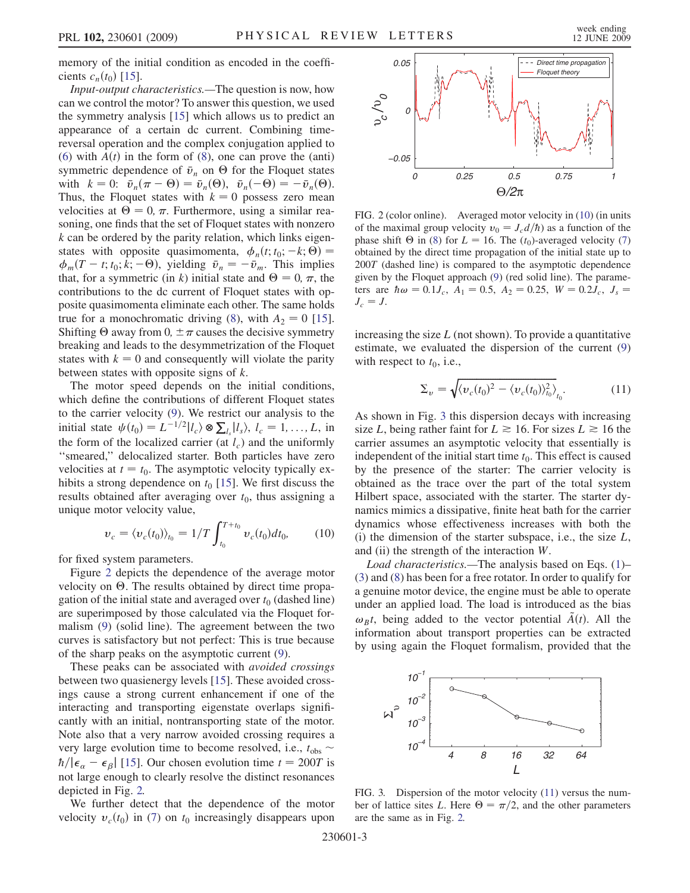memory of the initial condition as encoded in the coefficients  $c_n(t_0)$  [\[15\]](#page-3-14).

Input-output characteristics.—The question is now, how can we control the motor? To answer this question, we used the symmetry analysis [[15](#page-3-14)] which allows us to predict an appearance of a certain dc current. Combining timereversal operation and the complex conjugation applied to [\(6\)](#page-1-3) with  $A(t)$  in the form of ([8\)](#page-1-0), one can prove the (anti) symmetric dependence of  $\bar{v}_n$  on  $\Theta$  for the Floquet states with  $k = 0$ :  $\bar{v}_n(\pi - \Theta) = \bar{v}_n(\Theta)$ ,  $\bar{v}_n(-\Theta) = -\bar{v}_n(\Theta)$ . Thus, the Floquet states with  $k = 0$  possess zero mean velocities at  $\Theta = 0$ ,  $\pi$ . Furthermore, using a similar reasoning, one finds that the set of Floquet states with nonzero  $k$  can be ordered by the parity relation, which links eigenstates with opposite quasimomenta,  $\phi_n(t; t_0; -k; \Theta) =$  $\phi_m(T - t; t_0; \vec{k}; -\Theta)$ , yielding  $\bar{v}_n = -\bar{v}_m$ . This implies that, for a symmetric (in k) initial state and  $\Theta = 0, \pi$ , the contributions to the dc current of Floquet states with opposite quasimomenta eliminate each other. The same holds true for a monochromatic driving ([8\)](#page-1-0), with  $A_2 = 0$  [\[15\]](#page-3-14). Shifting  $\Theta$  away from 0,  $\pm \pi$  causes the decisive symmetry breaking and leads to the desymmetrization of the Floquet states with  $k = 0$  and consequently will violate the parity between states with opposite signs of  $k$ .

The motor speed depends on the initial conditions, which define the contributions of different Floquet states to the carrier velocity [\(9](#page-1-4)). We restrict our analysis to the initial state  $\psi(t_0) = L^{-1/2} |l_c\rangle \otimes \sum_{l_s} |l_s\rangle, l_c = 1, ..., L$ , in the form of the localized carrier (at  $l_c$ ) and the uniformly ''smeared,'' delocalized starter. Both particles have zero velocities at  $t = t_0$ . The asymptotic velocity typically exhibits a strong dependence on  $t_0$  [\[15\]](#page-3-14). We first discuss the results obtained after averaging over  $t_0$ , thus assigning a unique motor velocity value,

$$
v_c = \langle v_c(t_0) \rangle_{t_0} = 1/T \int_{t_0}^{T+t_0} v_c(t_0) dt_0, \qquad (10)
$$

<span id="page-2-2"></span>for fixed system parameters.

Figure [2](#page-2-0) depicts the dependence of the average motor velocity on  $\Theta$ . The results obtained by direct time propagation of the initial state and averaged over  $t_0$  (dashed line) are superimposed by those calculated via the Floquet formalism [\(9\)](#page-1-4) (solid line). The agreement between the two curves is satisfactory but not perfect: This is true because of the sharp peaks on the asymptotic current ([9](#page-1-4)).

These peaks can be associated with *avoided crossings* between two quasienergy levels [\[15\]](#page-3-14). These avoided crossings cause a strong current enhancement if one of the interacting and transporting eigenstate overlaps significantly with an initial, nontransporting state of the motor. Note also that a very narrow avoided crossing requires a very large evolution time to become resolved, i.e.,  $t_{obs} \sim$  $\hbar/|\epsilon_{\alpha} - \epsilon_{\beta}|$  [[15](#page-3-14)]. Our chosen evolution time  $t = 200T$  is not large enough to clearly resolve the distinct resonances depicted in Fig. [2.](#page-2-0)

We further detect that the dependence of the motor velocity  $v_c(t_0)$  in [\(7](#page-1-2)) on  $t_0$  increasingly disappears upon

<span id="page-2-0"></span>

FIG. 2 (color online). Averaged motor velocity in [\(10\)](#page-2-2) (in units of the maximal group velocity  $v_0 = J_c d/\hbar$  as a function of the phase shift  $\Theta$  in [\(8](#page-1-0)) for  $L = 16$ . The  $(t_0)$ -averaged velocity [\(7\)](#page-1-2) obtained by the direct time propagation of the initial state up to 200T (dashed line) is compared to the asymptotic dependence given by the Floquet approach [\(9\)](#page-1-4) (red solid line). The parameters are  $\hbar \omega = 0.1 J_c$ ,  $A_1 = 0.5$ ,  $A_2 = 0.25$ ,  $W = 0.2 J_c$ ,  $J_s =$  $J_c = J$ .

<span id="page-2-3"></span>increasing the size  $L$  (not shown). To provide a quantitative estimate, we evaluated the dispersion of the current [\(9\)](#page-1-4) with respect to  $t_0$ , i.e.,

$$
\Sigma_v = \sqrt{\langle v_c(t_0)^2 - \langle v_c(t_0) \rangle_{t_0}^2 \rangle_{t_0}}.
$$
 (11)

As shown in Fig. [3](#page-2-1) this dispersion decays with increasing size L, being rather faint for  $L \ge 16$ . For sizes  $L \ge 16$  the carrier assumes an asymptotic velocity that essentially is independent of the initial start time  $t_0$ . This effect is caused by the presence of the starter: The carrier velocity is obtained as the trace over the part of the total system Hilbert space, associated with the starter. The starter dynamics mimics a dissipative, finite heat bath for the carrier dynamics whose effectiveness increases with both the (i) the dimension of the starter subspace, i.e., the size  $L$ , and (ii) the strength of the interaction W.

Load characteristics.—The analysis based on Eqs. [\(1](#page-0-1))– [\(3\)](#page-0-2) and [\(8](#page-1-0)) has been for a free rotator. In order to qualify for a genuine motor device, the engine must be able to operate under an applied load. The load is introduced as the bias  $\omega_B t$ , being added to the vector potential  $\tilde{A}(t)$ . All the information about transport properties can be extracted by using again the Floquet formalism, provided that the

<span id="page-2-1"></span>

FIG. 3. Dispersion of the motor velocity [\(11\)](#page-2-3) versus the number of lattice sites L. Here  $\Theta = \pi/2$ , and the other parameters are the same as in Fig. [2.](#page-2-0)